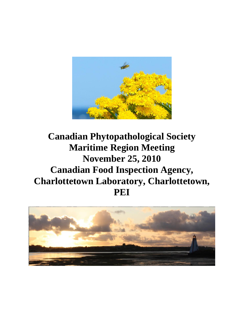

# **Canadian Phytopathological Society Maritime Region Meeting November 25, 2010 Canadian Food Inspection Agency, Charlottetown Laboratory, Charlottetown, PEI**

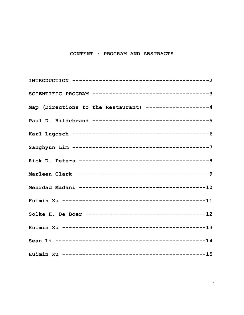#### CONTENT : PROGRAM AND ABSTRACTS

| SCIENTIFIC PROGRAM ----------------------------------3 |
|--------------------------------------------------------|
| Map (Directions to the Restaurant) ------------------4 |
| Paul D. Hildebrand ----------------------------------5 |
|                                                        |
|                                                        |
|                                                        |
|                                                        |
|                                                        |
|                                                        |
|                                                        |
|                                                        |
|                                                        |
|                                                        |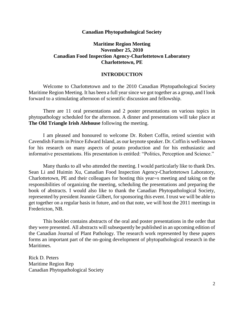#### **Canadian Phytopathological Society**

### **Maritime Region Meeting November 25, 2010 Canadian Food Inspection Agency-Charlottetown Laboratory Charlottetown, PE**

#### **INTRODUCTION**

Welcome to Charlottetown and to the 2010 Canadian Phytopathological Society Maritime Region Meeting. It has been a full year since we got together as a group, and I look forward to a stimulating afternoon of scientific discussion and fellowship.

There are 11 oral presentations and 2 poster presentations on various topics in phytopathology scheduled for the afternoon. A dinner and presentations will take place at **The Old Triangle Irish Alehouse** following the meeting.

I am pleased and honoured to welcome Dr. Robert Coffin, retired scientist with Cavendish Farms in Prince Edward Island, as our keynote speaker. Dr. Coffin is well-known for his research on many aspects of potato production and for his enthusiastic and informative presentations. His presentation is entitled: "Politics, Perception and Science."

Many thanks to all who attended the meeting. I would particularly like to thank Drs. Sean Li and Huimin Xu, Canadian Food Inspection Agency-Charlottetown Laboratory, Charlottetown, PE and their colleagues for hosting this year=s meeting and taking on the responsibilities of organizing the meeting, scheduling the presentations and preparing the book of abstracts. I would also like to thank the Canadian Phytopathological Society, represented by president Jeannie Gilbert, for sponsoring this event. I trust we will be able to get together on a regular basis in future, and on that note, we will host the 2011 meetings in Fredericton, NB.

This booklet contains abstracts of the oral and poster presentations in the order that they were presented. All abstracts will subsequently be published in an upcoming edition of the Canadian Journal of Plant Pathology. The research work represented by these papers forms an important part of the on-going development of phytopathological research in the Maritimes.

Rick D. Peters Maritime Region Rep Canadian Phytopathological Society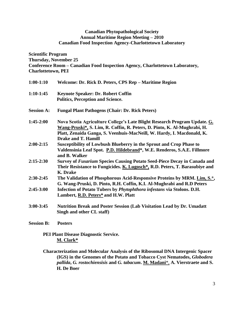#### **Canadian Phytopathological Society Annual Maritime Region Meeting – 2010 Canadian Food Inspection Agency-Charlottetown Laboratory**

**Scientific Program Thursday, November 25 Conference Room – Canadian Food Inspection Agency, Charlottetown Laboratory, Charlottetown, PEI**

| $1:00-1:10$       | Welcome: Dr. Rick D. Peters, CPS Rep - Maritime Region                                                                                                                                                                          |
|-------------------|---------------------------------------------------------------------------------------------------------------------------------------------------------------------------------------------------------------------------------|
| $1:10-1:45$       | Keynote Speaker: Dr. Robert Coffin<br><b>Politics, Perception and Science.</b>                                                                                                                                                  |
| <b>Session A:</b> | <b>Fungal Plant Pathogens (Chair: Dr. Rick Peters)</b>                                                                                                                                                                          |
|                   |                                                                                                                                                                                                                                 |
| $1:45-2:00$       | Nova Scotia Agriculture College's Late Blight Research Program Update. G.<br>Wang-Pruski*, S. Lim, R. Coffin, R. Peters, D. Pinto, K. Al-Mughrabi, H.<br>Platt, Zenaida Ganga, S. Veenhuis-MacNeill, W. Hardy, I. Macdonald, K. |
|                   | <b>Drake and T. Hamill</b>                                                                                                                                                                                                      |
| $2:00-2:15$       | Susceptibility of Lowbush Blueberry in the Sprout and Crop Phase to<br>Valdensinia Leaf Spot. P.D. Hildebrand*, W.E. Renderos, S.A.E. Fillmore<br>and B. Walker                                                                 |
| $2:15-2:30$       | Survey of Fusarium Species Causing Potato Seed-Piece Decay in Canada and<br>Their Resistance to Fungicides. K. Lugosch*, R.D. Peters, T. Barasubiye and<br>K. Drake                                                             |
| $2:30-2:45$       | The Validation of Phosphorous Acid-Responsive Proteins by MRM. Lim, S.*,<br>G. Wang-Pruski, D. Pinto, R.H. Coffin, K.I. Al-Mughrabi and R.D Peters                                                                              |
| $2:45-3:00$       | Infection of Potato Tubers by Phytophthora infestans via Stolons. D.H.<br>Lambert, R.D. Peters* and H.W. Platt                                                                                                                  |
| $3:00 - 3:45$     | <b>Nutrition Break and Poster Session (Lab Visitation Lead by Dr. Umadatt</b><br>Singh and other CL staff)                                                                                                                      |
| <b>Session B:</b> | <b>Posters</b>                                                                                                                                                                                                                  |

**PEI Plant Disease Diagnostic Service. M. Clark\***

**Characterization and Molecular Analysis of the Ribosomal DNA Intergenic Spacer (IGS) in the Genomes of the Potato and Tobacco Cyst Nematodes,** *Globodera pallida***,** *G. rostochiensisis* **and** *G. tabacum***. M. Madani**\*, **A. Vierstraete and S. H. De Boer**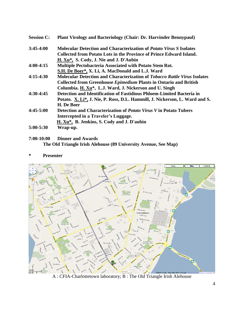| <b>Session C:</b> | <b>Plant Virology and Bacteriology (Chair: Dr. Harvinder Bennypaul)</b>          |
|-------------------|----------------------------------------------------------------------------------|
| $3:45-4:00$       | <b>Molecular Detection and Characterization of Potato Virus S Isolates</b>       |
|                   | Collected from Potato Lots in the Province of Prince Edward Island.              |
|                   | H. Xu*, S. Cody, J. Nie and J. D'Aubin                                           |
| $4:00-4:15$       | <b>Multiple Pectobacteria Associated with Potato Stem Rot.</b>                   |
|                   | S.H. De Boer*, X. Li, A. MacDonald and L.J. Ward                                 |
| $4:15-4:30$       | <b>Molecular Detection and Characterization of Tobacco Rattle Virus Isolates</b> |
|                   | <b>Collected from Greenhouse Epimedium Plants in Ontario and British</b>         |
|                   | Columbia. H. Xu <sup>*</sup> , L.J. Ward, J. Nickerson and U. Singh              |
| $4:30-4:45$       | Detection and Identification of Fastidious Phloem-Limited Bacteria in            |
|                   | Potato. X. Li*, J. Nie, P. Ross, D.L. Hammill, J. Nickerson, L. Ward and S.      |
|                   | H. De Boer                                                                       |
| $4:45-5:00$       | Detection and Characterization of <i>Potato Virus V</i> in Potato Tubers         |
|                   | Intercepted in a Traveler's Luggage.                                             |
|                   | H. Xu*, B. Jenkins, S. Cody and J. D'aubin                                       |
| $5:00 - 5:30$     | Wrap-up.                                                                         |

- **7:00-10:00 Dinner and Awards The Old Triangle Irish Alehouse (89 University Avenue, See Map)**
- **\* Presenter**



A : CFIA-Charlottetown laboratory; B : The Old Triangle Irish Alehouse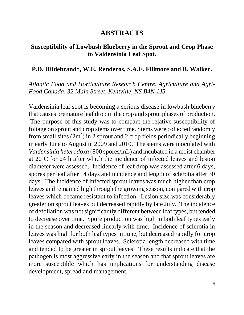# **ABSTRACTS**

# **Susceptibility of Lowbush Blueberry in the Sprout and Crop Phase to Valdensinia Leaf Spot.**

### **P.D. Hildebrand\*, W.E. Renderos, S.A.E. Fillmore and B. Walker.**

*Atlantic Food and Horticulture Research Centre, Agriculture and Agri-Food Canada, 32 Main Street, Kentville, NS B4N 1J5.* 

Valdensinia leaf spot is becoming a serious disease in lowbush blueberry that causes premature leaf drop in the crop and sprout phases of production. The purpose of this study was to compare the relative susceptibility of foliage on sprout and crop stems over time. Stems were collected randomly from small sites  $(2m^2)$  in 2 sprout and 2 crop fields periodically beginning in early June to August in 2009 and 2010. The stems were inoculated with *Valdensinia heterodoxa* (800 spores/mL) and incubated in a moist chamber at 20 C for 24 h after which the incidence of infected leaves and lesion diameter were assessed. Incidence of leaf drop was assessed after 6 days, spores per leaf after 14 days and incidence and length of sclerotia after 30 days. The incidence of infected sprout leaves was much higher than crop leaves and remained high through the growing season, compared with crop leaves which became resistant to infection. Lesion size was considerably greater on sprout leaves but decreased rapidly by late July. The incidence of defoliation was not significantly different between leaf types, but tended to decrease over time. Spore production was high in both leaf types early in the season and decreased linearly with time. Incidence of sclerotia in leaves was high for both leaf types in June, but decreased rapidly for crop leaves compared with sprout leaves. Sclerotia length decreased with time and tended to be greater in sprout leaves. These results indicate that the pathogen is most aggressive early in the season and that sprout leaves are more susceptible which has implications for understanding disease development, spread and management.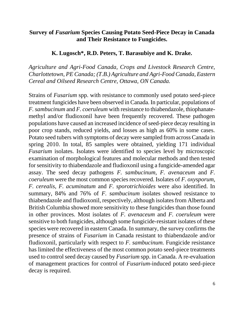### **Survey of** *Fusarium* **Species Causing Potato Seed-Piece Decay in Canada and Their Resistance to Fungicides.**

### **K. Lugosch\*, R.D. Peters, T. Barasubiye and K. Drake.**

*Agriculture and Agri-Food Canada, Crops and Livestock Research Centre, Charlottetown, PE Canada; (T.B.) Agriculture and Agri-Food Canada, Eastern Cereal and Oilseed Research Centre, Ottawa, ON Canada.*

Strains of *Fusarium* spp. with resistance to commonly used potato seed-piece treatment fungicides have been observed in Canada. In particular, populations of *F. sambucinum* and *F. coeruleum* with resistance to thiabendazole, thiophanatemethyl and/or fludioxonil have been frequently recovered. These pathogen populations have caused an increased incidence of seed-piece decay resulting in poor crop stands, reduced yields, and losses as high as 60% in some cases. Potato seed tubers with symptoms of decay were sampled from across Canada in spring 2010. In total, 85 samples were obtained, yielding 171 individual *Fusarium* isolates. Isolates were identified to species level by microscopic examination of morphological features and molecular methods and then tested for sensitivity to thiabendazole and fludioxonil using a fungicide-amended agar assay. The seed decay pathogens *F. sambucinum, F. avenaceum* and *F. coeruleum* were the most common species recovered. Isolates of *F. oxysporum, F. cerealis, F. acuminatum* and *F. sporotrichioides* were also identified. In summary, 84% and 76% of *F. sambucinum* isolates showed resistance to thiabendazole and fludioxonil, respectively, although isolates from Alberta and British Columbia showed more sensitivity to these fungicides than those found in other provinces. Most isolates of *F. avenaceum* and *F. coeruleum* were sensitive to both fungicides, although some fungicide-resistant isolates of these species were recovered in eastern Canada. In summary, the survey confirms the presence of strains of *Fusarium* in Canada resistant to thiabendazole and/or fludioxonil, particularly with respect to *F. sambucinum.* Fungicide resistance has limited the effectiveness of the most common potato seed-piece treatments used to control seed decay caused by *Fusarium* spp. in Canada. A re-evaluation of management practices for control of *Fusarium-*induced potato seed-piece decay is required.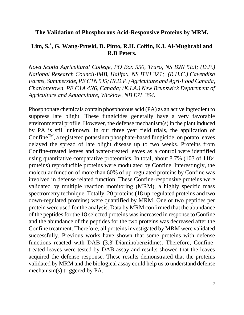### **The Validation of Phosphorous Acid-Responsive Proteins by MRM.**

### **Lim, S.\* , G. Wang-Pruski, D. Pinto, R.H. Coffin, K.I. Al-Mughrabi and R.D Peters.**

*Nova Scotia Agricultural College, PO Box 550, Truro, NS B2N 5E3; (D.P.) National Research Council-IMB, Halifax, NS B3H 3Z1; (R.H.C.) Cavendish Farms, Summerside, PE C1N 5J5; (R.D.P.) Agriculture and Agri-Food Canada, Charlottetown, PE C1A 4N6, Canada; (K.I.A.) New Brunswick Department of Agriculture and Aquaculture, Wicklow, NB E7L 3S4.*

Phosphonate chemicals contain phosphorous acid (PA) as an active ingredient to suppress late blight. These fungicides generally have a very favorable environmental profile. However, the defense mechanism(s) in the plant induced by PA is still unknown. In our three year field trials, the application of ConfineTM, a registered potassium phosphate-based fungicide, on potato leaves delayed the spread of late blight disease up to two weeks. Proteins from Confine-treated leaves and water-treated leaves as a control were identified using quantitative comparative proteomics. In total, about 8.7% (103 of 1184 proteins) reproducible proteins were modulated by Confine. Interestingly, the molecular function of more than 60% of up-regulated proteins by Confine was involved in defense related function. These Confine-responsive proteins were validated by multiple reaction monitoring (MRM), a highly specific mass spectrometry technique. Totally, 20 proteins (18 up-regulated proteins and two down-regulated proteins) were quantified by MRM. One or two peptides per protein were used for the analysis. Data by MRM confirmed that the abundance of the peptides for the 18 selected proteins was increased in response to Confine and the abundance of the peptides for the two proteins was decreased after the Confine treatment. Therefore, all proteins investigated by MRM were validated successfully. Previous works have shown that some proteins with defense functions reacted with DAB (3,3'-Diaminobenzidine). Therefore, Confinetreated leaves were tested by DAB assay and results showed that the leaves acquired the defense response. These results demonstrated that the proteins validated by MRM and the biological assay could help us to understand defense mechanism(s) triggered by PA.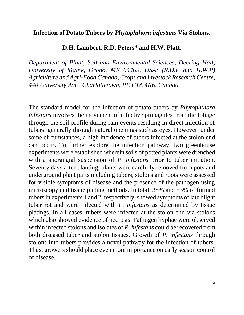### **Infection of Potato Tubers by** *Phytophthora infestans* **Via Stolons.**

### **D.H. Lambert, R.D. Peters\* and H.W. Platt.**

*Department of Plant, Soil and Environmental Sciences, Deering Hall, University of Maine, Orono, ME 04469, USA; (R.D.P and H.W.P) Agriculture and Agri-Food Canada, Crops and Livestock Research Centre, 440 University Ave., Charlottetown, PE C1A 4N6, Canada.*

The standard model for the infection of potato tubers by *Phytophthora infestans* involves the movement of infective propagules from the foliage through the soil profile during rain events resulting in direct infection of tubers, generally through natural openings such as eyes. However, under some circumstances, a high incidence of tubers infected at the stolon end can occur. To further explore the infection pathway, two greenhouse experiments were established wherein soils of potted plants were drenched with a sporangial suspension of *P. infestans* prior to tuber initiation. Seventy days after planting, plants were carefully removed from pots and underground plant parts including tubers, stolons and roots were assessed for visible symptoms of disease and the presence of the pathogen using microscopy and tissue plating methods. In total, 38% and 53% of formed tubers in experiments 1 and 2, respectively, showed symptoms of late blight tuber rot and were infected with *P. infestans* as determined by tissue platings. In all cases, tubers were infected at the stolon-end via stolons which also showed evidence of necrosis. Pathogen hyphae were observed within infected stolons and isolates of *P. infestans* could be recovered from both diseased tuber and stolon tissues. Growth of *P. infestans* through stolons into tubers provides a novel pathway for the infection of tubers. Thus, growers should place even more importance on early season control of disease.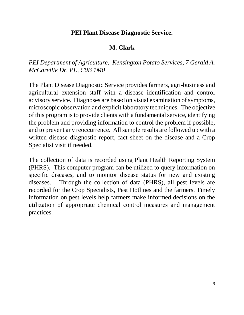# **PEI Plant Disease Diagnostic Service.**

# **M. Clark**

# *PEI Department of Agriculture, Kensington Potato Services, 7 Gerald A. McCarville Dr. PE, C0B 1M0*

The Plant Disease Diagnostic Service provides farmers, agri-business and agricultural extension staff with a disease identification and control advisory service. Diagnoses are based on visual examination of symptoms, microscopic observation and explicit laboratory techniques. The objective of this program is to provide clients with a fundamental service, identifying the problem and providing information to control the problem if possible, and to prevent any reoccurrence. All sample results are followed up with a written disease diagnostic report, fact sheet on the disease and a Crop Specialist visit if needed.

The collection of data is recorded using Plant Health Reporting System (PHRS). This computer program can be utilized to query information on specific diseases, and to monitor disease status for new and existing diseases. Through the collection of data (PHRS), all pest levels are recorded for the Crop Specialists, Pest Hotlines and the farmers. Timely information on pest levels help farmers make informed decisions on the utilization of appropriate chemical control measures and management practices.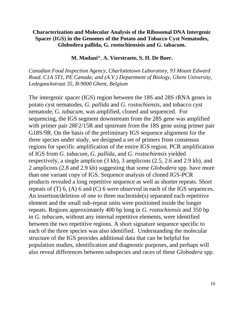### **Characterization and Molecular Analysis of the Ribosomal DNA Intergenic Spacer (IGS) in the Genomes of the Potato and Tobacco Cyst Nematodes, Globodera pallida, G. rostochiensisis and G. tabacum.**

#### **M. Madani**\*, **A. Vierstraete, S. H. De Boer.**

*Canadian Food Inspection Agency, Charlottetown Laboratory, 93 Mount Edward Road. C1A 5T1, PE Canada; and (A.V.) Department of Biology, Ghent University, Ledeganckstraat 35, B-9000 Ghent, Belgium* 

The intergenic spacer (IGS) region between the 18S and 28S rRNA genes in potato cyst nematodes, *G. pallida* and *G. rostochiensis*, and tobacco cyst nematode, *G. tabacum*, was amplified, cloned and sequenced. For sequencing, the IGS segment downstream from the 28S gene was amplified with primer pair  $28F2/15R$  and upstream from the 18S gene using primer pair G18S/9R. On the basis of the preliminary IGS sequence alignment for the three species under study, we designed a set of primers from consensus regions for specific amplification of the entire IGS region. PCR amplification of IGS from *G. tabacum*, *G. pallida*, and *G. rostochiensis* yielded respectively, a single amplicon (3 kb), 3 amplicons (2.5, 2.6 and 2.9 kb), and 2 amplicons (2.8 and 2.9 kb) suggesting that some *Globodera* spp. have more than one variant copy of IGS. Sequence analysis of cloned IGS-PCR products revealed a long repetitive sequence as well as shorter repeats. Short repeats of (T) 6, (A) 6 and (C) 6 were observed in each of the IGS sequences. An insertion/deletion of one to three nucleotide(s) separated each repetitive element and the small sub-repeat units were positioned inside the longer repeats. Regions approximately 400 bp long in *G. rostochiensis* and 350 bp in *G. tabacum*, without any internal repetitive elements, were identified between the two repetitive regions. A short signature sequence specific to each of the three species was also identified. Understanding the molecular structure of the IGS provides additional data that can be helpful for population studies, identification and diagnostic purposes, and perhaps will also reveal differences between subspecies and races of these *Globodera* spp.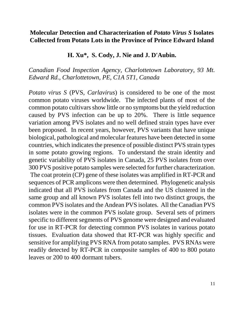## **Molecular Detection and Characterization of** *Potato Virus S* **Isolates Collected from Potato Lots in the Province of Prince Edward Island**

### **H. Xu\*, S. Cody, J. Nie and J. D'Aubin.**

### *Canadian Food Inspection Agency, Charlottetown Laboratory, 93 Mt. Edward Rd., Charlottetown, PE, C1A 5T1, Canada*

*Potato virus S* (PVS, *Carlavirus*) is considered to be one of the most common potato viruses worldwide. The infected plants of most of the common potato cultivars show little or no symptoms but the yield reduction caused by PVS infection can be up to 20%. There is little sequence variation among PVS isolates and no well defined strain types have ever been proposed. In recent years, however, PVS variants that have unique biological, pathological and molecular features have been detected in some countries, which indicates the presence of possible distinct PVS strain types in some potato growing regions. To understand the strain identity and genetic variability of PVS isolates in Canada, 25 PVS isolates from over 300 PVS positive potato samples were selected for further characterization. The coat protein (CP) gene of these isolates was amplified in RT-PCR and sequences of PCR amplicons were then determined. Phylogenetic analysis indicated that all PVS isolates from Canada and the US clustered in the same group and all known PVS isolates fell into two distinct groups, the common PVS isolates and the Andean PVS isolates. All the Canadian PVS isolates were in the common PVS isolate group. Several sets of primers specific to different segments of PVS genome were designed and evaluated for use in RT-PCR for detecting common PVS isolates in various potato tissues. Evaluation data showed that RT-PCR was highly specific and sensitive for amplifying PVS RNA from potato samples. PVS RNAs were readily detected by RT-PCR in composite samples of 400 to 800 potato leaves or 200 to 400 dormant tubers.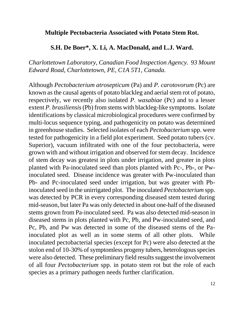### **Multiple Pectobacteria Associated with Potato Stem Rot.**

### **S.H. De Boer\*, X. Li, A. MacDonald, and L.J. Ward.**

*Charlottetown Laboratory, Canadian Food Inspection Agency. 93 Mount Edward Road, Charlottetown, PE, C1A 5T1, Canada.*

Although *Pectobacterium atrosepticum* (Pa) and *P. carotovorum* (Pc) are known as the causal agents of potato blackleg and aerial stem rot of potato, respectively, we recently also isolated *P. wasabiae* (Pc) and to a lesser extent *P. brasiliensis*(Pb) from stems with blackleg-like symptoms. Isolate identifications by classical microbiological procedures were confirmed by multi-locus sequence typing, and pathogenicity on potato was determined in greenhouse studies. Selected isolates of each *Pectobacterium* spp. were tested for pathogenicity in a field plot experiment. Seed potato tubers (cv. Superior), vacuum infiltrated with one of the four pectobacteria, were grown with and without irrigation and observed for stem decay. Incidence of stem decay was greatest in plots under irrigation, and greater in plots planted with Pa-inoculated seed than plots planted with Pc-, Pb-, or Pwinoculated seed. Disease incidence was greater with Pw-inoculated than Pb- and Pc-inoculated seed under irrigation, but was greater with Pbinoculated seed in the unirrigated plot. The inoculated *Pectobacterium* spp. was detected by PCR in every corresponding diseased stem tested during mid-season, but later Pa was only detected in about one-half of the diseased stems grown from Pa-inoculated seed. Pa was also detected mid-season in diseased stems in plots planted with Pc, Pb, and Pw-inoculated seed, and Pc, Pb, and Pw was detected in some of the diseased stems of the Painoculated plot as well as in some stems of all other plots. While inoculated pectobacterial species (except for Pc) were also detected at the stolon end of 10-30% of symptomless progeny tubers, heterologous species were also detected. These preliminary field results suggest the involvement of all four *Pectobacterium* spp. in potato stem rot but the role of each species as a primary pathogen needs further clarification.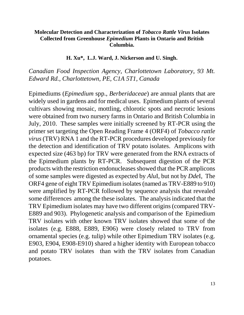### **Molecular Detection and Characterization of** *Tobacco Rattle Virus* **Isolates Collected from Greenhouse** *Epimedium* **Plants in Ontario and British Columbia.**

#### **H. Xu\*, L.J. Ward, J. Nickerson and U. Singh.**

*Canadian Food Inspection Agency, Charlottetown Laboratory, 93 Mt. Edward Rd., Charlottetown, PE, C1A 5T1, Canada*

Epimediums (*Epimedium* spp., *Berberidaceae*) are annual plants that are widely used in gardens and for medical uses. Epimedium plants of several cultivars showing mosaic, mottling, chlorotic spots and necrotic lesions were obtained from two nursery farms in Ontario and British Columbia in July, 2010. These samples were initially screened by RT-PCR using the primer set targeting the Open Reading Frame 4 (ORF4) of *Tobacco rattle virus* (TRV) RNA 1 and the RT-PCR procedures developed previously for the detection and identification of TRV potato isolates. Amplicons with expected size (463 bp) for TRV were generated from the RNA extracts of the Epimedium plants by RT-PCR. Subsequent digestion of the PCR products with the restriction endonucleases showed that the PCR amplicons of some samples were digested as expected by *Alu*I, but not by *Dde*I, The ORF4 gene of eight TRV Epimedium isolates (named as TRV-E889 to 910) were amplified by RT-PCR followed by sequence analysis that revealed some differences among the these isolates. The analysis indicated that the TRV Epimedium isolates may have two different origins (compared TRV-E889 and 903). Phylogenetic analysis and comparison of the Epimedium TRV isolates with other known TRV isolates showed that some of the isolates (e.g. E888, E889, E906) were closely related to TRV from ornamental species (e.g. tulip) while other Epimedium TRV isolates (e.g. E903, E904, E908-E910) shared a higher identity with European tobacco and potato TRV isolates than with the TRV isolates from Canadian potatoes.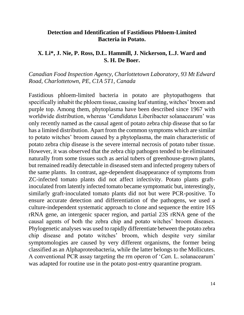### **Detection and Identification of Fastidious Phloem-Limited Bacteria in Potato.**

### **X. Li\*, J. Nie, P. Ross, D.L. Hammill, J. Nickerson, L.J. Ward and S. H. De Boer.**

*Canadian Food Inspection Agency, Charlottetown Laboratory, 93 Mt Edward Road, Charlottetown, PE, C1A 5T1, Canada* 

Fastidious phloem-limited bacteria in potato are phytopathogens that specifically inhabit the phloem tissue, causing leaf stunting, witches' broom and purple top. Among them, phytoplasma have been described since 1967 with worldwide distribution, whereas '*Candidatus* Liberibacter solanacearum' was only recently named as the causal agent of potato zebra chip disease that so far has a limited distribution. Apart from the common symptoms which are similar to potato witches' broom caused by a phytoplasma, the main characteristic of potato zebra chip disease is the severe internal necrosis of potato tuber tissue. However, it was observed that the zebra chip pathogen tended to be eliminated naturally from some tissues such as aerial tubers of greenhouse-grown plants, but remained readily detectable in diseased stem and infected progeny tubers of the same plants. In contrast, age-dependent disappearance of symptoms from ZC-infected tomato plants did not affect infectivity. Potato plants graftinoculated from latently infected tomato became symptomatic but, interestingly, similarly graft-inoculated tomato plants did not but were PCR-positive. To ensure accurate detection and differentiation of the pathogens, we used a culture-independent systematic approach to clone and sequence the entire 16S rRNA gene, an intergenic spacer region, and partial 23S rRNA gene of the causal agents of both the zebra chip and potato witches' broom diseases. Phylogenetic analyses was used to rapidly differentiate between the potato zebra chip disease and potato witches' broom, which despite very similar symptomologies are caused by very different organisms, the former being classified as an Alphaproteobacteria, while the latter belongs to the Mollicutes. A conventional PCR assay targeting the rrn operon of '*Can.* L. solanacearum' was adapted for routine use in the potato post-entry quarantine program.